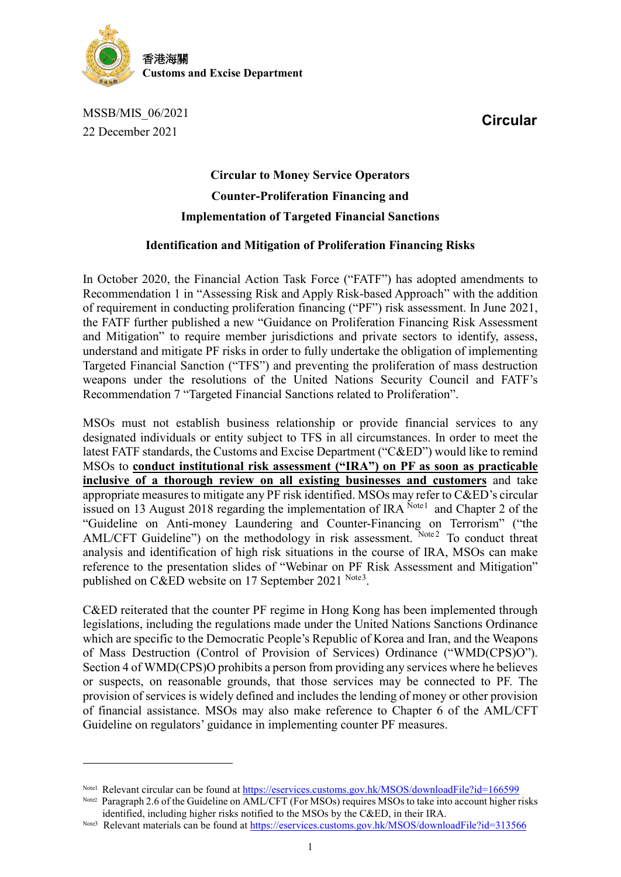

MSSB/MIS\_06/2021 22 December 2021

 $\overline{a}$ 

**Circular**

## **Circular to Money Service Operators Counter-Proliferation Financing and Implementation of Targeted Financial Sanctions**

## **Identification and Mitigation of Proliferation Financing Risks**

In October 2020, the Financial Action Task Force ("FATF") has adopted amendments to Recommendation 1 in "Assessing Risk and Apply Risk-based Approach" with the addition of requirement in conducting proliferation financing ("PF") risk assessment. In June 2021, the FATF further published a new "Guidance on Proliferation Financing Risk Assessment and Mitigation" to require member jurisdictions and private sectors to identify, assess, understand and mitigate PF risks in order to fully undertake the obligation of implementing Targeted Financial Sanction ("TFS") and preventing the proliferation of mass destruction weapons under the resolutions of the United Nations Security Council and FATF's Recommendation 7 "Targeted Financial Sanctions related to Proliferation".

MSOs must not establish business relationship or provide financial services to any designated individuals or entity subject to TFS in all circumstances. In order to meet the latest FATF standards, the Customs and Excise Department ("C&ED") would like to remind MSOs to **conduct institutional risk assessment ("IRA") on PF as soon as practicable inclusive of a thorough review on all existing businesses and customers** and take appropriate measures to mitigate any PF risk identified. MSOs may refer to C&ED's circular issued on [1](#page-0-0)3 August 2018 regarding the implementation of IRA  $^{Note1}$  and Chapter 2 of the "Guideline on Anti-money Laundering and Counter-Financing on Terrorism" ("the AML/CFT Guideline") on the methodology in risk assessment. Note[2](#page-0-1) To conduct threat analysis and identification of high risk situations in the course of IRA, MSOs can make reference to the presentation slides of "Webinar on PF Risk Assessment and Mitigation" published on C&ED website on 17 September 2021  $^{Note3}$  $^{Note3}$  $^{Note3}$ .

C&ED reiterated that the counter PF regime in Hong Kong has been implemented through legislations, including the regulations made under the United Nations Sanctions Ordinance which are specific to the Democratic People's Republic of Korea and Iran, and the Weapons of Mass Destruction (Control of Provision of Services) Ordinance ("WMD(CPS)O"). Section 4 of WMD(CPS)O prohibits a person from providing any services where he believes or suspects, on reasonable grounds, that those services may be connected to PF. The provision of services is widely defined and includes the lending of money or other provision of financial assistance. MSOs may also make reference to Chapter 6 of the AML/CFT Guideline on regulators' guidance in implementing counter PF measures.

<span id="page-0-0"></span>Note1 Relevant circular can be found at<https://eservices.customs.gov.hk/MSOS/downloadFile?id=166599>

<span id="page-0-1"></span>Note2 Paragraph 2.6 of the Guideline on AML/CFT (For MSOs) requires MSOs to take into account higher risks identified, including higher risks notified to the MSOs by the C&ED, in their IRA.

<span id="page-0-2"></span>Note3 Relevant materials can be found at<https://eservices.customs.gov.hk/MSOS/downloadFile?id=313566>